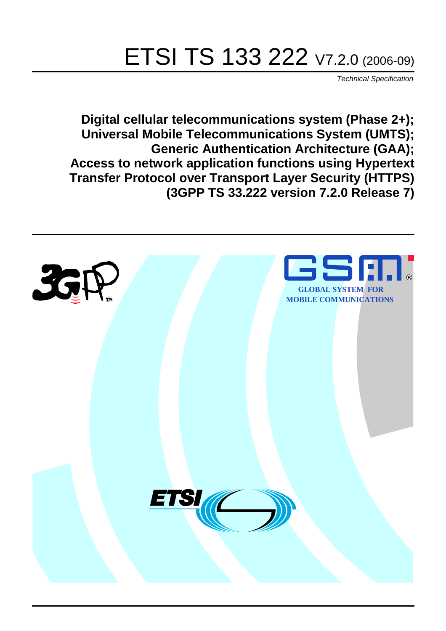# ETSI TS 133 222 V7.2.0 (2006-09)

Technical Specification

**Digital cellular telecommunications system (Phase 2+); Universal Mobile Telecommunications System (UMTS); Generic Authentication Architecture (GAA); Access to network application functions using Hypertext Transfer Protocol over Transport Layer Security (HTTPS) (3GPP TS 33.222 version 7.2.0 Release 7)**

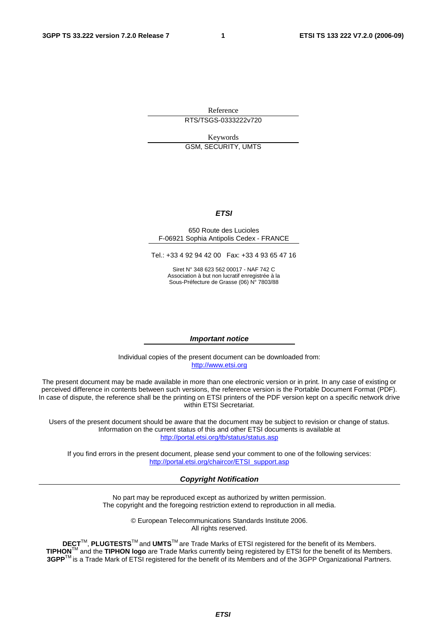Reference RTS/TSGS-0333222v720

Keywords GSM, SECURITY, UMTS

#### **ETSI**

#### 650 Route des Lucioles F-06921 Sophia Antipolis Cedex - FRANCE

Tel.: +33 4 92 94 42 00 Fax: +33 4 93 65 47 16

Siret N° 348 623 562 00017 - NAF 742 C Association à but non lucratif enregistrée à la Sous-Préfecture de Grasse (06) N° 7803/88

#### **Important notice**

Individual copies of the present document can be downloaded from: [http://www.etsi.org](http://www.etsi.org/)

The present document may be made available in more than one electronic version or in print. In any case of existing or perceived difference in contents between such versions, the reference version is the Portable Document Format (PDF). In case of dispute, the reference shall be the printing on ETSI printers of the PDF version kept on a specific network drive within ETSI Secretariat.

Users of the present document should be aware that the document may be subject to revision or change of status. Information on the current status of this and other ETSI documents is available at <http://portal.etsi.org/tb/status/status.asp>

If you find errors in the present document, please send your comment to one of the following services: [http://portal.etsi.org/chaircor/ETSI\\_support.asp](http://portal.etsi.org/chaircor/ETSI_support.asp)

#### **Copyright Notification**

No part may be reproduced except as authorized by written permission. The copyright and the foregoing restriction extend to reproduction in all media.

> © European Telecommunications Standards Institute 2006. All rights reserved.

**DECT**TM, **PLUGTESTS**TM and **UMTS**TM are Trade Marks of ETSI registered for the benefit of its Members. **TIPHON**TM and the **TIPHON logo** are Trade Marks currently being registered by ETSI for the benefit of its Members. **3GPP**TM is a Trade Mark of ETSI registered for the benefit of its Members and of the 3GPP Organizational Partners.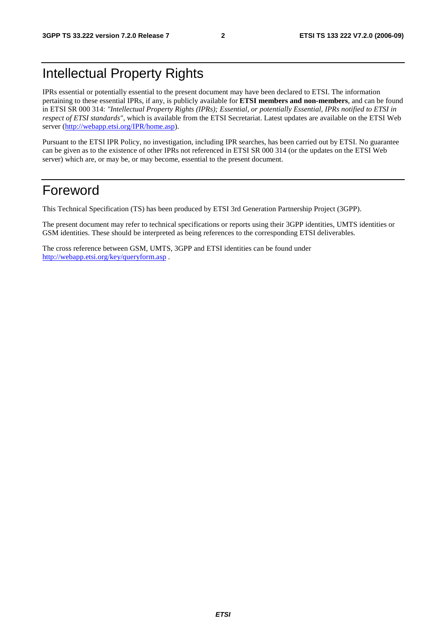# Intellectual Property Rights

IPRs essential or potentially essential to the present document may have been declared to ETSI. The information pertaining to these essential IPRs, if any, is publicly available for **ETSI members and non-members**, and can be found in ETSI SR 000 314: *"Intellectual Property Rights (IPRs); Essential, or potentially Essential, IPRs notified to ETSI in respect of ETSI standards"*, which is available from the ETSI Secretariat. Latest updates are available on the ETSI Web server ([http://webapp.etsi.org/IPR/home.asp\)](http://webapp.etsi.org/IPR/home.asp).

Pursuant to the ETSI IPR Policy, no investigation, including IPR searches, has been carried out by ETSI. No guarantee can be given as to the existence of other IPRs not referenced in ETSI SR 000 314 (or the updates on the ETSI Web server) which are, or may be, or may become, essential to the present document.

# Foreword

This Technical Specification (TS) has been produced by ETSI 3rd Generation Partnership Project (3GPP).

The present document may refer to technical specifications or reports using their 3GPP identities, UMTS identities or GSM identities. These should be interpreted as being references to the corresponding ETSI deliverables.

The cross reference between GSM, UMTS, 3GPP and ETSI identities can be found under <http://webapp.etsi.org/key/queryform.asp>.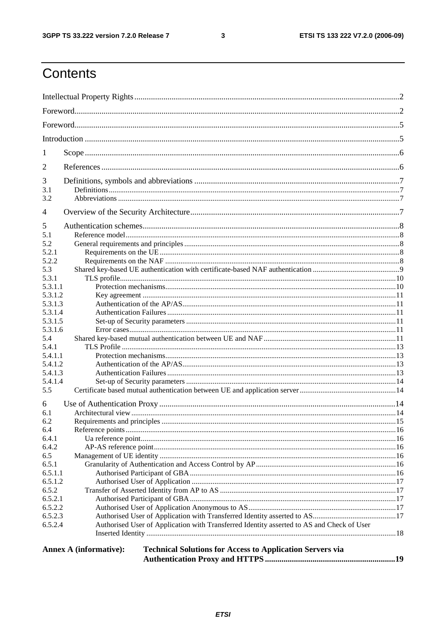#### $\mathbf{3}$

# Contents

| 1              |                                                                                                   |  |  |  |  |  |
|----------------|---------------------------------------------------------------------------------------------------|--|--|--|--|--|
| 2              |                                                                                                   |  |  |  |  |  |
| 3              |                                                                                                   |  |  |  |  |  |
| 3.1<br>3.2     |                                                                                                   |  |  |  |  |  |
| $\overline{4}$ |                                                                                                   |  |  |  |  |  |
| 5              |                                                                                                   |  |  |  |  |  |
| 5.1            |                                                                                                   |  |  |  |  |  |
| 5.2            |                                                                                                   |  |  |  |  |  |
| 5.2.1          |                                                                                                   |  |  |  |  |  |
| 5.2.2          |                                                                                                   |  |  |  |  |  |
| 5.3            |                                                                                                   |  |  |  |  |  |
| 5.3.1          |                                                                                                   |  |  |  |  |  |
| 5.3.1.1        |                                                                                                   |  |  |  |  |  |
| 5.3.1.2        |                                                                                                   |  |  |  |  |  |
| 5.3.1.3        |                                                                                                   |  |  |  |  |  |
| 5.3.1.4        |                                                                                                   |  |  |  |  |  |
| 5.3.1.5        |                                                                                                   |  |  |  |  |  |
| 5.3.1.6        |                                                                                                   |  |  |  |  |  |
| 5.4            |                                                                                                   |  |  |  |  |  |
| 5.4.1          |                                                                                                   |  |  |  |  |  |
| 5.4.1.1        |                                                                                                   |  |  |  |  |  |
| 5.4.1.2        |                                                                                                   |  |  |  |  |  |
| 5.4.1.3        |                                                                                                   |  |  |  |  |  |
| 5.4.1.4        |                                                                                                   |  |  |  |  |  |
| 5.5            |                                                                                                   |  |  |  |  |  |
| 6              |                                                                                                   |  |  |  |  |  |
| 6.1            |                                                                                                   |  |  |  |  |  |
| 6.2            |                                                                                                   |  |  |  |  |  |
| 6.4            |                                                                                                   |  |  |  |  |  |
| 6.4.1          |                                                                                                   |  |  |  |  |  |
| 6.4.2          |                                                                                                   |  |  |  |  |  |
| 6.5            |                                                                                                   |  |  |  |  |  |
| 6.5.1          |                                                                                                   |  |  |  |  |  |
| 6.5.1.1        |                                                                                                   |  |  |  |  |  |
| 6.5.1.2        |                                                                                                   |  |  |  |  |  |
| 6.5.2          |                                                                                                   |  |  |  |  |  |
| 6.5.2.1        |                                                                                                   |  |  |  |  |  |
| 6.5.2.2        |                                                                                                   |  |  |  |  |  |
| 6.5.2.3        |                                                                                                   |  |  |  |  |  |
| 6.5.2.4        | Authorised User of Application with Transferred Identity asserted to AS and Check of User         |  |  |  |  |  |
|                |                                                                                                   |  |  |  |  |  |
|                |                                                                                                   |  |  |  |  |  |
|                | <b>Technical Solutions for Access to Application Servers via</b><br><b>Annex A (informative):</b> |  |  |  |  |  |
|                |                                                                                                   |  |  |  |  |  |
|                |                                                                                                   |  |  |  |  |  |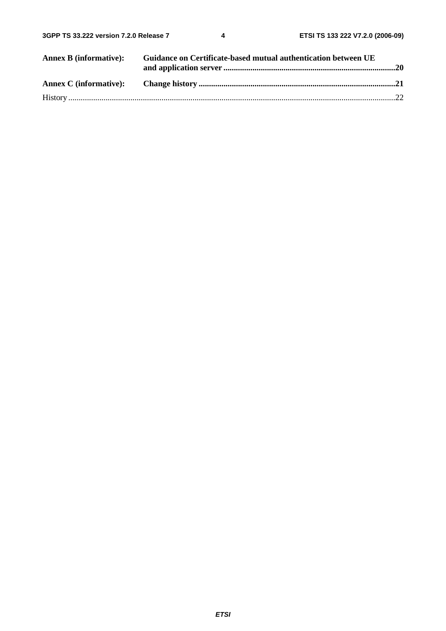| <b>Annex B (informative):</b> | Guidance on Certificate-based mutual authentication between UE |  |
|-------------------------------|----------------------------------------------------------------|--|
|                               |                                                                |  |
|                               |                                                                |  |
|                               |                                                                |  |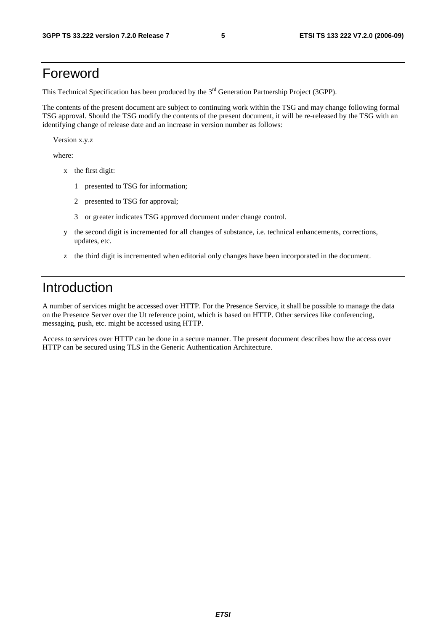### Foreword

This Technical Specification has been produced by the 3<sup>rd</sup> Generation Partnership Project (3GPP).

The contents of the present document are subject to continuing work within the TSG and may change following formal TSG approval. Should the TSG modify the contents of the present document, it will be re-released by the TSG with an identifying change of release date and an increase in version number as follows:

Version x.y.z

where:

- x the first digit:
	- 1 presented to TSG for information;
	- 2 presented to TSG for approval;
	- 3 or greater indicates TSG approved document under change control.
- y the second digit is incremented for all changes of substance, i.e. technical enhancements, corrections, updates, etc.
- z the third digit is incremented when editorial only changes have been incorporated in the document.

# Introduction

A number of services might be accessed over HTTP. For the Presence Service, it shall be possible to manage the data on the Presence Server over the Ut reference point, which is based on HTTP. Other services like conferencing, messaging, push, etc. might be accessed using HTTP.

Access to services over HTTP can be done in a secure manner. The present document describes how the access over HTTP can be secured using TLS in the Generic Authentication Architecture.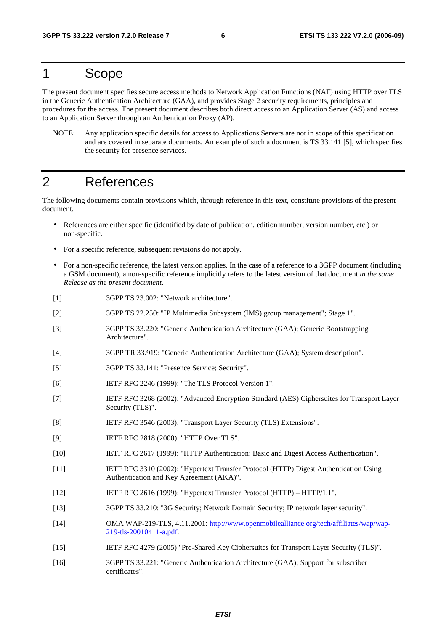### 1 Scope

The present document specifies secure access methods to Network Application Functions (NAF) using HTTP over TLS in the Generic Authentication Architecture (GAA), and provides Stage 2 security requirements, principles and procedures for the access. The present document describes both direct access to an Application Server (AS) and access to an Application Server through an Authentication Proxy (AP).

NOTE: Any application specific details for access to Applications Servers are not in scope of this specification and are covered in separate documents. An example of such a document is TS 33.141 [5], which specifies the security for presence services.

# 2 References

The following documents contain provisions which, through reference in this text, constitute provisions of the present document.

- References are either specific (identified by date of publication, edition number, version number, etc.) or non-specific.
- For a specific reference, subsequent revisions do not apply.
- For a non-specific reference, the latest version applies. In the case of a reference to a 3GPP document (including a GSM document), a non-specific reference implicitly refers to the latest version of that document *in the same Release as the present document*.
- [1] 3GPP TS 23.002: "Network architecture".
- [2] 3GPP TS 22.250: "IP Multimedia Subsystem (IMS) group management"; Stage 1".
- [3] 3GPP TS 33.220: "Generic Authentication Architecture (GAA); Generic Bootstrapping Architecture".
- [4] 3GPP TR 33.919: "Generic Authentication Architecture (GAA); System description".
- [5] 3GPP TS 33.141: "Presence Service; Security".
- [6] IETF RFC 2246 (1999): "The TLS Protocol Version 1".
- [7] IETF RFC 3268 (2002): "Advanced Encryption Standard (AES) Ciphersuites for Transport Layer Security (TLS)".
- [8] IETF RFC 3546 (2003): "Transport Layer Security (TLS) Extensions".
- [9] **IETF RFC 2818 (2000): "HTTP Over TLS".**
- [10] IETF RFC 2617 (1999): "HTTP Authentication: Basic and Digest Access Authentication".
- [11] IETF RFC 3310 (2002): "Hypertext Transfer Protocol (HTTP) Digest Authentication Using Authentication and Key Agreement (AKA)".
- [12] IETF RFC 2616 (1999): "Hypertext Transfer Protocol (HTTP) HTTP/1.1".
- [13] 3GPP TS 33.210: "3G Security; Network Domain Security; IP network layer security".
- [14] OMA WAP-219-TLS, 4.11.2001: [http://www.openmobilealliance.org/tech/affiliates/wap/wap-](http://www.openmobilealliance.org/tech/affiliates/wap/wap-219-tls-20010411-a.pdf)[219-tls-20010411-a.pdf](http://www.openmobilealliance.org/tech/affiliates/wap/wap-219-tls-20010411-a.pdf).
- [15] IETF RFC 4279 (2005) "Pre-Shared Key Ciphersuites for Transport Layer Security (TLS)".
- [16] 3GPP TS 33.221: "Generic Authentication Architecture (GAA); Support for subscriber certificates".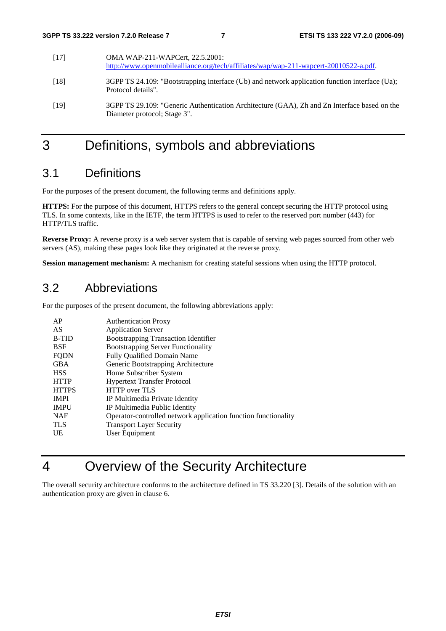| [17] | OMA WAP-211-WAPCert, 22.5.2001:<br>http://www.openmobilealliance.org/tech/affiliates/wap/wap-211-wapcert-20010522-a.pdf.     |
|------|------------------------------------------------------------------------------------------------------------------------------|
| [18] | 3GPP TS 24.109: "Bootstrapping interface (Ub) and network application function interface (Ua);<br>Protocol details".         |
| [19] | 3GPP TS 29.109: "Generic Authentication Architecture (GAA), Zh and Zn Interface based on the<br>Diameter protocol; Stage 3". |

# 3 Definitions, symbols and abbreviations

### 3.1 Definitions

For the purposes of the present document, the following terms and definitions apply.

**HTTPS:** For the purpose of this document, HTTPS refers to the general concept securing the HTTP protocol using TLS. In some contexts, like in the IETF, the term HTTPS is used to refer to the reserved port number (443) for HTTP/TLS traffic.

**Reverse Proxy:** A reverse proxy is a web server system that is capable of serving web pages sourced from other web servers (AS), making these pages look like they originated at the reverse proxy.

**Session management mechanism:** A mechanism for creating stateful sessions when using the HTTP protocol.

### 3.2 Abbreviations

For the purposes of the present document, the following abbreviations apply:

| AP           | <b>Authentication Proxy</b>                                    |
|--------------|----------------------------------------------------------------|
| AS           | <b>Application Server</b>                                      |
| <b>B-TID</b> | <b>Bootstrapping Transaction Identifier</b>                    |
| <b>BSF</b>   | <b>Bootstrapping Server Functionality</b>                      |
| <b>FQDN</b>  | <b>Fully Qualified Domain Name</b>                             |
| <b>GBA</b>   | Generic Bootstrapping Architecture                             |
| <b>HSS</b>   | Home Subscriber System                                         |
| <b>HTTP</b>  | <b>Hypertext Transfer Protocol</b>                             |
| <b>HTTPS</b> | <b>HTTP</b> over TLS                                           |
| <b>IMPI</b>  | IP Multimedia Private Identity                                 |
| <b>IMPU</b>  | IP Multimedia Public Identity                                  |
| <b>NAF</b>   | Operator-controlled network application function functionality |
| <b>TLS</b>   | <b>Transport Layer Security</b>                                |
| UE           | User Equipment                                                 |

# 4 Overview of the Security Architecture

The overall security architecture conforms to the architecture defined in TS 33.220 [3]. Details of the solution with an authentication proxy are given in clause 6.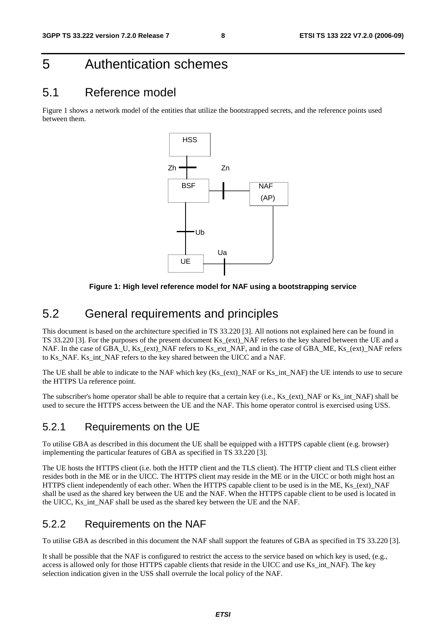# 5 Authentication schemes

### 5.1 Reference model

Figure 1 shows a network model of the entities that utilize the bootstrapped secrets, and the reference points used between them.



#### **Figure 1: High level reference model for NAF using a bootstrapping service**

### 5.2 General requirements and principles

This document is based on the architecture specified in TS 33.220 [3]. All notions not explained here can be found in TS 33.220 [3]. For the purposes of the present document Ks\_(ext)\_NAF refers to the key shared between the UE and a NAF. In the case of GBA\_U, Ks\_(ext)\_NAF refers to Ks\_ext\_NAF, and in the case of GBA\_ME, Ks\_(ext)\_NAF refers to Ks\_NAF. Ks\_int\_NAF refers to the key shared between the UICC and a NAF.

The UE shall be able to indicate to the NAF which key (Ks\_(ext)\_NAF or Ks\_int\_NAF) the UE intends to use to secure the HTTPS Ua reference point.

The subscriber's home operator shall be able to require that a certain key (i.e., Ks (ext) NAF or Ks int NAF) shall be used to secure the HTTPS access between the UE and the NAF. This home operator control is exercised using USS.

### 5.2.1 Requirements on the UE

To utilise GBA as described in this document the UE shall be equipped with a HTTPS capable client (e.g. browser) implementing the particular features of GBA as specified in TS 33.220 [3].

The UE hosts the HTTPS client (i.e. both the HTTP client and the TLS client). The HTTP client and TLS client either resides both in the ME or in the UICC. The HTTPS client may reside in the ME or in the UICC or both might host an HTTPS client independently of each other. When the HTTPS capable client to be used is in the ME, Ks\_(ext)\_NAF shall be used as the shared key between the UE and the NAF. When the HTTPS capable client to be used is located in the UICC, Ks\_int\_NAF shall be used as the shared key between the UE and the NAF.

### 5.2.2 Requirements on the NAF

To utilise GBA as described in this document the NAF shall support the features of GBA as specified in TS 33.220 [3].

It shall be possible that the NAF is configured to restrict the access to the service based on which key is used, (e.g., access is allowed only for those HTTPS capable clients that reside in the UICC and use Ks\_int\_NAF). The key selection indication given in the USS shall overrule the local policy of the NAF.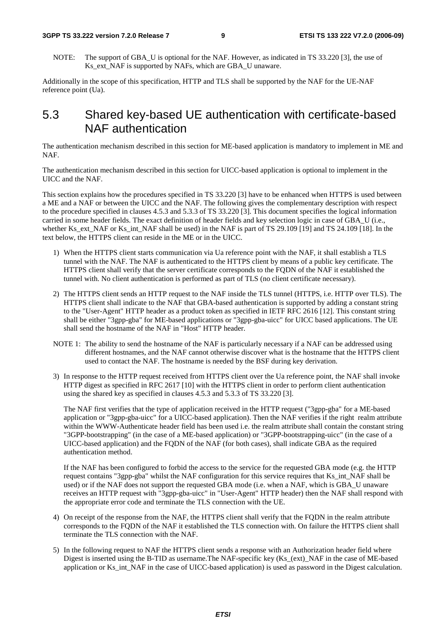#### **3GPP TS 33.222 version 7.2.0 Release 7 9 ETSI TS 133 222 V7.2.0 (2006-09)**

NOTE: The support of GBA U is optional for the NAF. However, as indicated in TS 33.220 [3], the use of Ks\_ext\_NAF is supported by NAFs, which are GBA\_U unaware.

Additionally in the scope of this specification, HTTP and TLS shall be supported by the NAF for the UE-NAF reference point (Ua).

### 5.3 Shared key-based UE authentication with certificate-based NAF authentication

The authentication mechanism described in this section for ME-based application is mandatory to implement in ME and NAF.

The authentication mechanism described in this section for UICC-based application is optional to implement in the UICC and the NAF.

This section explains how the procedures specified in TS 33.220 [3] have to be enhanced when HTTPS is used between a ME and a NAF or between the UICC and the NAF. The following gives the complementary description with respect to the procedure specified in clauses 4.5.3 and 5.3.3 of TS 33.220 [3]. This document specifies the logical information carried in some header fields. The exact definition of header fields and key selection logic in case of GBA\_U (i.e., whether Ks\_ext\_NAF or Ks\_int\_NAF shall be used) in the NAF is part of TS 29.109 [19] and TS 24.109 [18]. In the text below, the HTTPS client can reside in the ME or in the UICC.

- 1) When the HTTPS client starts communication via Ua reference point with the NAF, it shall establish a TLS tunnel with the NAF. The NAF is authenticated to the HTTPS client by means of a public key certificate. The HTTPS client shall verify that the server certificate corresponds to the FQDN of the NAF it established the tunnel with. No client authentication is performed as part of TLS (no client certificate necessary).
- 2) The HTTPS client sends an HTTP request to the NAF inside the TLS tunnel (HTTPS, i.e. HTTP over TLS). The HTTPS client shall indicate to the NAF that GBA-based authentication is supported by adding a constant string to the "User-Agent" HTTP header as a product token as specified in IETF RFC 2616 [12]. This constant string shall be either "3gpp-gba" for ME-based applications or "3gpp-gba-uicc" for UICC based applications. The UE shall send the hostname of the NAF in "Host" HTTP header.
- NOTE 1: The ability to send the hostname of the NAF is particularly necessary if a NAF can be addressed using different hostnames, and the NAF cannot otherwise discover what is the hostname that the HTTPS client used to contact the NAF. The hostname is needed by the BSF during key derivation.
- 3) In response to the HTTP request received from HTTPS client over the Ua reference point, the NAF shall invoke HTTP digest as specified in RFC 2617 [10] with the HTTPS client in order to perform client authentication using the shared key as specified in clauses 4.5.3 and 5.3.3 of TS 33.220 [3].

The NAF first verifies that the type of application received in the HTTP request ("3gpp-gba" for a ME-based application or "3gpp-gba-uicc" for a UICC-based application). Then the NAF verifies if the right realm attribute within the WWW-Authenticate header field has been used i.e. the realm attribute shall contain the constant string "3GPP-bootstrapping" (in the case of a ME-based application) or "3GPP-bootstrapping-uicc" (in the case of a UICC-based application) and the FQDN of the NAF (for both cases), shall indicate GBA as the required authentication method.

If the NAF has been configured to forbid the access to the service for the requested GBA mode (e.g. the HTTP request contains "3gpp-gba" whilst the NAF configuration for this service requires that Ks\_int\_NAF shall be used) or if the NAF does not support the requested GBA mode (i.e. when a NAF, which is GBA\_U unaware receives an HTTP request with "3gpp-gba-uicc" in "User-Agent" HTTP header) then the NAF shall respond with the appropriate error code and terminate the TLS connection with the UE.

- 4) On receipt of the response from the NAF, the HTTPS client shall verify that the FQDN in the realm attribute corresponds to the FQDN of the NAF it established the TLS connection with. On failure the HTTPS client shall terminate the TLS connection with the NAF.
- 5) In the following request to NAF the HTTPS client sends a response with an Authorization header field where Digest is inserted using the B-TID as username.The NAF-specific key (Ks\_(ext)\_NAF in the case of ME-based application or Ks\_int\_NAF in the case of UICC-based application) is used as password in the Digest calculation.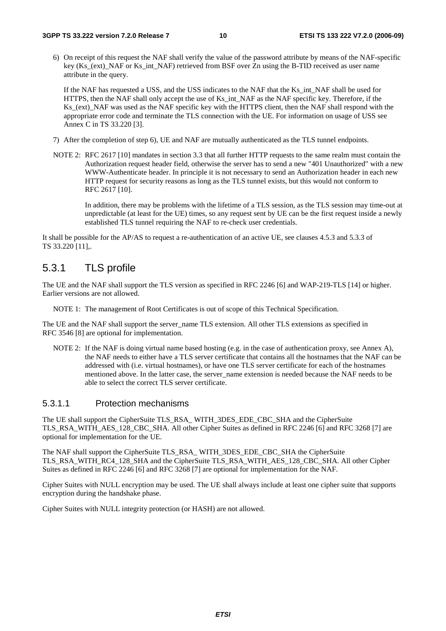6) On receipt of this request the NAF shall verify the value of the password attribute by means of the NAF-specific key (Ks (ext) NAF or Ks int NAF) retrieved from BSF over Zn using the B-TID received as user name attribute in the query.

If the NAF has requested a USS, and the USS indicates to the NAF that the Ks\_int\_NAF shall be used for HTTPS, then the NAF shall only accept the use of Ks\_int\_NAF as the NAF specific key. Therefore, if the Ks (ext) NAF was used as the NAF specific key with the HTTPS client, then the NAF shall respond with the appropriate error code and terminate the TLS connection with the UE. For information on usage of USS see Annex C in TS 33.220 [3].

- 7) After the completion of step 6), UE and NAF are mutually authenticated as the TLS tunnel endpoints.
- NOTE 2: RFC 2617 [10] mandates in section 3.3 that all further HTTP requests to the same realm must contain the Authorization request header field, otherwise the server has to send a new "401 Unauthorized" with a new WWW-Authenticate header. In principle it is not necessary to send an Authorization header in each new HTTP request for security reasons as long as the TLS tunnel exists, but this would not conform to RFC 2617 [10].

In addition, there may be problems with the lifetime of a TLS session, as the TLS session may time-out at unpredictable (at least for the UE) times, so any request sent by UE can be the first request inside a newly established TLS tunnel requiring the NAF to re-check user credentials.

It shall be possible for the AP/AS to request a re-authentication of an active UE, see clauses 4.5.3 and 5.3.3 of TS 33.220 [11],.

### 5.3.1 TLS profile

The UE and the NAF shall support the TLS version as specified in RFC 2246 [6] and WAP-219-TLS [14] or higher. Earlier versions are not allowed.

NOTE 1: The management of Root Certificates is out of scope of this Technical Specification.

The UE and the NAF shall support the server\_name TLS extension. All other TLS extensions as specified in RFC 3546 [8] are optional for implementation.

NOTE 2: If the NAF is doing virtual name based hosting (e.g. in the case of authentication proxy, see Annex A), the NAF needs to either have a TLS server certificate that contains all the hostnames that the NAF can be addressed with (i.e. virtual hostnames), or have one TLS server certificate for each of the hostnames mentioned above. In the latter case, the server name extension is needed because the NAF needs to be able to select the correct TLS server certificate.

### 5.3.1.1 Protection mechanisms

The UE shall support the CipherSuite TLS\_RSA\_ WITH\_3DES\_EDE\_CBC\_SHA and the CipherSuite TLS\_RSA\_WITH\_AES\_128\_CBC\_SHA. All other Cipher Suites as defined in RFC 2246 [6] and RFC 3268 [7] are optional for implementation for the UE.

The NAF shall support the CipherSuite TLS\_RSA\_ WITH\_3DES\_EDE\_CBC\_SHA the CipherSuite TLS\_RSA\_WITH\_RC4\_128\_SHA and the CipherSuite TLS\_RSA\_WITH\_AES\_128\_CBC\_SHA. All other Cipher Suites as defined in RFC 2246 [6] and RFC 3268 [7] are optional for implementation for the NAF.

Cipher Suites with NULL encryption may be used. The UE shall always include at least one cipher suite that supports encryption during the handshake phase.

Cipher Suites with NULL integrity protection (or HASH) are not allowed.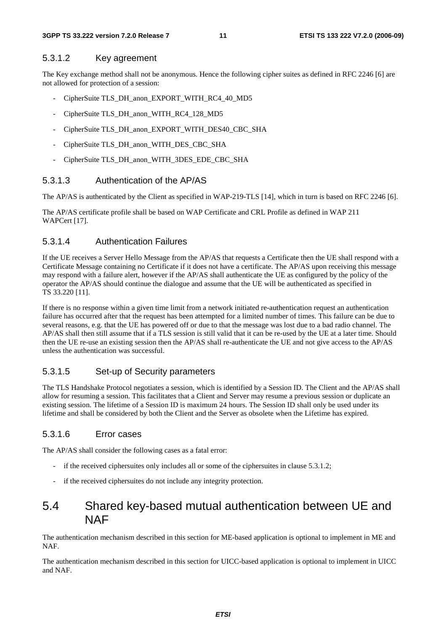#### 5.3.1.2 Key agreement

The Key exchange method shall not be anonymous. Hence the following cipher suites as defined in RFC 2246 [6] are not allowed for protection of a session:

- CipherSuite TLS\_DH\_anon\_EXPORT\_WITH\_RC4\_40\_MD5
- CipherSuite TLS\_DH\_anon\_WITH\_RC4\_128\_MD5
- CipherSuite TLS\_DH\_anon\_EXPORT\_WITH\_DES40\_CBC\_SHA
- CipherSuite TLS\_DH\_anon\_WITH\_DES\_CBC\_SHA
- CipherSuite TLS\_DH\_anon\_WITH\_3DES\_EDE\_CBC\_SHA

#### 5.3.1.3 Authentication of the AP/AS

The AP/AS is authenticated by the Client as specified in WAP-219-TLS [14], which in turn is based on RFC 2246 [6].

The AP/AS certificate profile shall be based on WAP Certificate and CRL Profile as defined in WAP 211 WAPCert [17].

#### 5.3.1.4 Authentication Failures

If the UE receives a Server Hello Message from the AP/AS that requests a Certificate then the UE shall respond with a Certificate Message containing no Certificate if it does not have a certificate. The AP/AS upon receiving this message may respond with a failure alert, however if the AP/AS shall authenticate the UE as configured by the policy of the operator the AP/AS should continue the dialogue and assume that the UE will be authenticated as specified in TS 33.220 [11].

If there is no response within a given time limit from a network initiated re-authentication request an authentication failure has occurred after that the request has been attempted for a limited number of times. This failure can be due to several reasons, e.g. that the UE has powered off or due to that the message was lost due to a bad radio channel. The AP/AS shall then still assume that if a TLS session is still valid that it can be re-used by the UE at a later time. Should then the UE re-use an existing session then the AP/AS shall re-authenticate the UE and not give access to the AP/AS unless the authentication was successful.

#### 5.3.1.5 Set-up of Security parameters

The TLS Handshake Protocol negotiates a session, which is identified by a Session ID. The Client and the AP/AS shall allow for resuming a session. This facilitates that a Client and Server may resume a previous session or duplicate an existing session. The lifetime of a Session ID is maximum 24 hours. The Session ID shall only be used under its lifetime and shall be considered by both the Client and the Server as obsolete when the Lifetime has expired.

#### 5.3.1.6 Error cases

The AP/AS shall consider the following cases as a fatal error:

- if the received ciphersuites only includes all or some of the ciphersuites in clause 5.3.1.2;
- if the received ciphersuites do not include any integrity protection.

### 5.4 Shared key-based mutual authentication between UE and **NAF**

The authentication mechanism described in this section for ME-based application is optional to implement in ME and NAF.

The authentication mechanism described in this section for UICC-based application is optional to implement in UICC and NAF.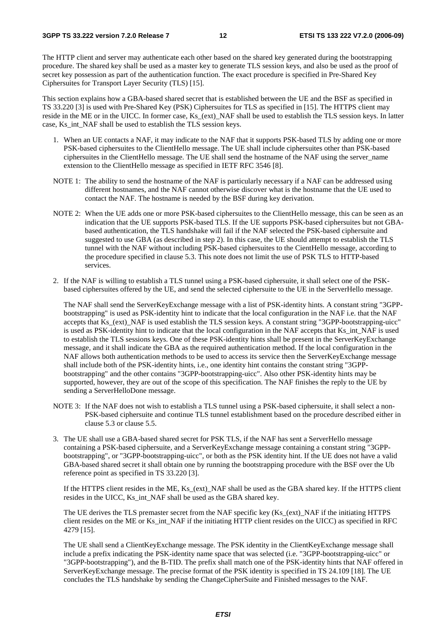The HTTP client and server may authenticate each other based on the shared key generated during the bootstrapping procedure. The shared key shall be used as a master key to generate TLS session keys, and also be used as the proof of secret key possession as part of the authentication function. The exact procedure is specified in Pre-Shared Key Ciphersuites for Transport Layer Security (TLS) [15].

This section explains how a GBA-based shared secret that is established between the UE and the BSF as specified in TS 33.220 [3] is used with Pre-Shared Key (PSK) Ciphersuites for TLS as specified in [15]. The HTTPS client may reside in the ME or in the UICC. In former case, Ks\_(ext)\_NAF shall be used to establish the TLS session keys. In latter case, Ks\_int\_NAF shall be used to establish the TLS session keys.

- 1. When an UE contacts a NAF, it may indicate to the NAF that it supports PSK-based TLS by adding one or more PSK-based ciphersuites to the ClientHello message. The UE shall include ciphersuites other than PSK-based ciphersuites in the ClientHello message. The UE shall send the hostname of the NAF using the server\_name extension to the ClientHello message as specified in IETF RFC 3546 [8].
- NOTE 1: The ability to send the hostname of the NAF is particularly necessary if a NAF can be addressed using different hostnames, and the NAF cannot otherwise discover what is the hostname that the UE used to contact the NAF. The hostname is needed by the BSF during key derivation.
- NOTE 2: When the UE adds one or more PSK-based ciphersuites to the ClientHello message, this can be seen as an indication that the UE supports PSK-based TLS. If the UE supports PSK-based ciphersuites but not GBAbased authentication, the TLS handshake will fail if the NAF selected the PSK-based ciphersuite and suggested to use GBA (as described in step 2). In this case, the UE should attempt to establish the TLS tunnel with the NAF without including PSK-based ciphersuites to the CientHello message, according to the procedure specified in clause 5.3. This note does not limit the use of PSK TLS to HTTP-based services.
- 2. If the NAF is willing to establish a TLS tunnel using a PSK-based ciphersuite, it shall select one of the PSKbased ciphersuites offered by the UE, and send the selected ciphersuite to the UE in the ServerHello message.

The NAF shall send the ServerKeyExchange message with a list of PSK-identity hints. A constant string "3GPPbootstrapping" is used as PSK-identity hint to indicate that the local configuration in the NAF i.e. that the NAF accepts that Ks (ext) NAF is used establish the TLS session keys. A constant string "3GPP-bootstrapping-uicc" is used as PSK-identity hint to indicate that the local configuration in the NAF accepts that Ks\_int\_NAF is used to establish the TLS sessions keys. One of these PSK-identity hints shall be present in the ServerKeyExchange message, and it shall indicate the GBA as the required authentication method. If the local configuration in the NAF allows both authentication methods to be used to access its service then the ServerKeyExchange message shall include both of the PSK-identity hints, i.e., one identity hint contains the constant string "3GPPbootstrapping" and the other contains "3GPP-bootstrapping-uicc". Also other PSK-identity hints may be supported, however, they are out of the scope of this specification. The NAF finishes the reply to the UE by sending a ServerHelloDone message.

- NOTE 3: If the NAF does not wish to establish a TLS tunnel using a PSK-based ciphersuite, it shall select a non-PSK-based ciphersuite and continue TLS tunnel establishment based on the procedure described either in clause 5.3 or clause 5.5.
- 3. The UE shall use a GBA-based shared secret for PSK TLS, if the NAF has sent a ServerHello message containing a PSK-based ciphersuite, and a ServerKeyExchange message containing a constant string "3GPPbootstrapping", or "3GPP-bootstrapping-uicc", or both as the PSK identity hint. If the UE does not have a valid GBA-based shared secret it shall obtain one by running the bootstrapping procedure with the BSF over the Ub reference point as specified in TS 33.220 [3].

 If the HTTPS client resides in the ME, Ks\_(ext)\_NAF shall be used as the GBA shared key. If the HTTPS client resides in the UICC, Ks\_int\_NAF shall be used as the GBA shared key.

The UE derives the TLS premaster secret from the NAF specific key (Ks (ext) NAF if the initiating HTTPS client resides on the ME or Ks\_int\_NAF if the initiating HTTP client resides on the UICC) as specified in RFC 4279 [15].

 The UE shall send a ClientKeyExchange message. The PSK identity in the ClientKeyExchange message shall include a prefix indicating the PSK-identity name space that was selected (i.e. "3GPP-bootstrapping-uicc" or "3GPP-bootstrapping"), and the B-TID. The prefix shall match one of the PSK-identity hints that NAF offered in ServerKeyExchange message. The precise format of the PSK identity is specified in TS 24.109 [18]. The UE concludes the TLS handshake by sending the ChangeCipherSuite and Finished messages to the NAF.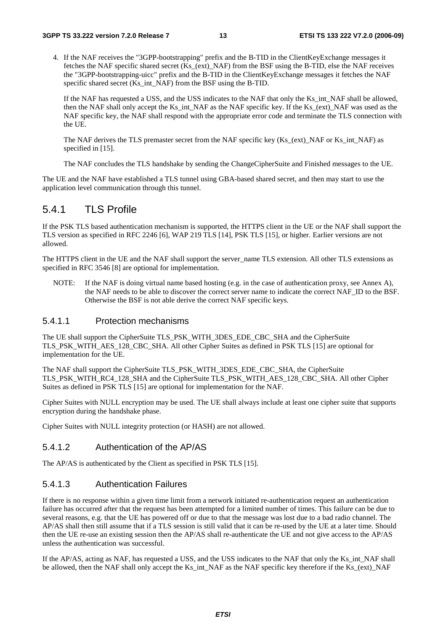4. If the NAF receives the "3GPP-bootstrapping" prefix and the B-TID in the ClientKeyExchange messages it fetches the NAF specific shared secret (Ks\_(ext)\_NAF) from the BSF using the B-TID, else the NAF receives the "3GPP-bootstrapping-uicc" prefix and the B-TID in the ClientKeyExchange messages it fetches the NAF specific shared secret (Ks\_int\_NAF) from the BSF using the B-TID.

If the NAF has requested a USS, and the USS indicates to the NAF that only the Ks int NAF shall be allowed, then the NAF shall only accept the Ks int NAF as the NAF specific key. If the Ks (ext) NAF was used as the NAF specific key, the NAF shall respond with the appropriate error code and terminate the TLS connection with the UE.

The NAF derives the TLS premaster secret from the NAF specific key (Ks\_(ext)\_NAF or Ks\_int\_NAF) as specified in [15].

The NAF concludes the TLS handshake by sending the ChangeCipherSuite and Finished messages to the UE.

The UE and the NAF have established a TLS tunnel using GBA-based shared secret, and then may start to use the application level communication through this tunnel.

### 5.4.1 TLS Profile

If the PSK TLS based authentication mechanism is supported, the HTTPS client in the UE or the NAF shall support the TLS version as specified in RFC 2246 [6], WAP 219 TLS [14], PSK TLS [15], or higher. Earlier versions are not allowed.

The HTTPS client in the UE and the NAF shall support the server name TLS extension. All other TLS extensions as specified in RFC 3546 [8] are optional for implementation.

NOTE: If the NAF is doing virtual name based hosting (e.g. in the case of authentication proxy, see Annex A), the NAF needs to be able to discover the correct server name to indicate the correct NAF\_ID to the BSF. Otherwise the BSF is not able derive the correct NAF specific keys.

#### 5.4.1.1 Protection mechanisms

The UE shall support the CipherSuite TLS\_PSK\_WITH\_3DES\_EDE\_CBC\_SHA and the CipherSuite TLS\_PSK\_WITH\_AES\_128\_CBC\_SHA. All other Cipher Suites as defined in PSK TLS [15] are optional for implementation for the UE.

The NAF shall support the CipherSuite TLS\_PSK\_WITH\_3DES\_EDE\_CBC\_SHA, the CipherSuite TLS\_PSK\_WITH\_RC4\_128\_SHA and the CipherSuite TLS\_PSK\_WITH\_AES\_128\_CBC\_SHA. All other Cipher Suites as defined in PSK TLS [15] are optional for implementation for the NAF.

Cipher Suites with NULL encryption may be used. The UE shall always include at least one cipher suite that supports encryption during the handshake phase.

Cipher Suites with NULL integrity protection (or HASH) are not allowed.

#### 5.4.1.2 Authentication of the AP/AS

The AP/AS is authenticated by the Client as specified in PSK TLS [15].

#### 5.4.1.3 Authentication Failures

If there is no response within a given time limit from a network initiated re-authentication request an authentication failure has occurred after that the request has been attempted for a limited number of times. This failure can be due to several reasons, e.g. that the UE has powered off or due to that the message was lost due to a bad radio channel. The AP/AS shall then still assume that if a TLS session is still valid that it can be re-used by the UE at a later time. Should then the UE re-use an existing session then the AP/AS shall re-authenticate the UE and not give access to the AP/AS unless the authentication was successful.

If the AP/AS, acting as NAF, has requested a USS, and the USS indicates to the NAF that only the Ks\_int\_NAF shall be allowed, then the NAF shall only accept the Ks\_int\_NAF as the NAF specific key therefore if the Ks\_(ext)\_NAF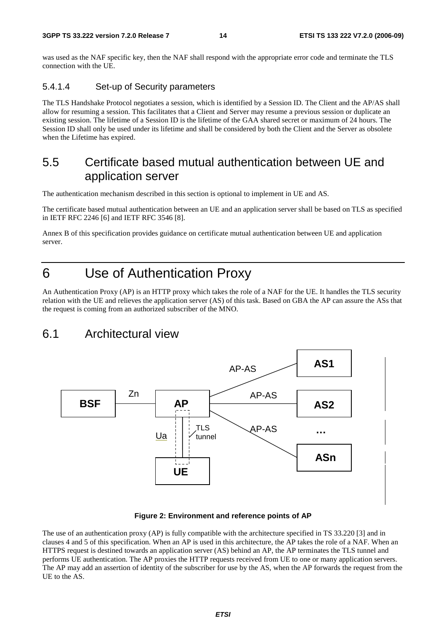was used as the NAF specific key, then the NAF shall respond with the appropriate error code and terminate the TLS connection with the UE.

### 5.4.1.4 Set-up of Security parameters

The TLS Handshake Protocol negotiates a session, which is identified by a Session ID. The Client and the AP/AS shall allow for resuming a session. This facilitates that a Client and Server may resume a previous session or duplicate an existing session. The lifetime of a Session ID is the lifetime of the GAA shared secret or maximum of 24 hours. The Session ID shall only be used under its lifetime and shall be considered by both the Client and the Server as obsolete when the Lifetime has expired.

### 5.5 Certificate based mutual authentication between UE and application server

The authentication mechanism described in this section is optional to implement in UE and AS.

The certificate based mutual authentication between an UE and an application server shall be based on TLS as specified in IETF RFC 2246 [6] and IETF RFC 3546 [8].

Annex B of this specification provides guidance on certificate mutual authentication between UE and application server.

# 6 Use of Authentication Proxy

An Authentication Proxy (AP) is an HTTP proxy which takes the role of a NAF for the UE. It handles the TLS security relation with the UE and relieves the application server (AS) of this task. Based on GBA the AP can assure the ASs that the request is coming from an authorized subscriber of the MNO.

### 6.1 Architectural view



#### **Figure 2: Environment and reference points of AP**

The use of an authentication proxy (AP) is fully compatible with the architecture specified in TS 33.220 [3] and in clauses 4 and 5 of this specification. When an AP is used in this architecture, the AP takes the role of a NAF. When an HTTPS request is destined towards an application server (AS) behind an AP, the AP terminates the TLS tunnel and performs UE authentication. The AP proxies the HTTP requests received from UE to one or many application servers. The AP may add an assertion of identity of the subscriber for use by the AS, when the AP forwards the request from the UE to the AS.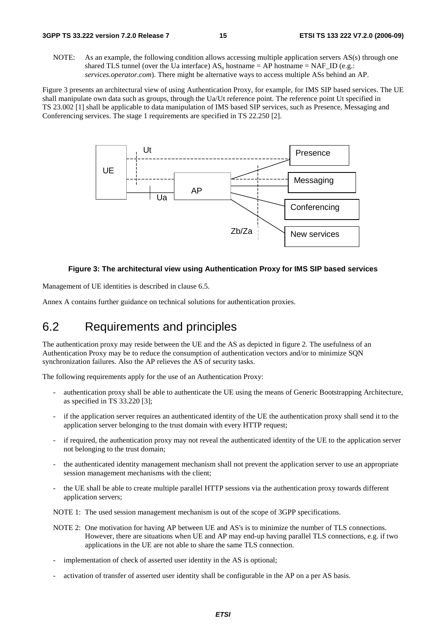NOTE: As an example, the following condition allows accessing multiple application servers AS(s) through one shared TLS tunnel (over the Ua interface)  $AS_n$  hostname = AP hostname = NAF\_ID (e.g.: *services.operator.com*). There might be alternative ways to access multiple ASs behind an AP.

Figure 3 presents an architectural view of using Authentication Proxy, for example, for IMS SIP based services. The UE shall manipulate own data such as groups, through the Ua/Ut reference point. The reference point Ut specified in TS 23.002 [1] shall be applicable to data manipulation of IMS based SIP services, such as Presence, Messaging and Conferencing services. The stage 1 requirements are specified in TS 22.250 [2].



#### **Figure 3: The architectural view using Authentication Proxy for IMS SIP based services**

Management of UE identities is described in clause 6.5.

Annex A contains further guidance on technical solutions for authentication proxies.

### 6.2 Requirements and principles

The authentication proxy may reside between the UE and the AS as depicted in figure 2. The usefulness of an Authentication Proxy may be to reduce the consumption of authentication vectors and/or to minimize SQN synchronization failures. Also the AP relieves the AS of security tasks.

The following requirements apply for the use of an Authentication Proxy:

- authentication proxy shall be able to authenticate the UE using the means of Generic Bootstrapping Architecture, as specified in TS 33.220 [3];
- if the application server requires an authenticated identity of the UE the authentication proxy shall send it to the application server belonging to the trust domain with every HTTP request;
- if required, the authentication proxy may not reveal the authenticated identity of the UE to the application server not belonging to the trust domain;
- the authenticated identity management mechanism shall not prevent the application server to use an appropriate session management mechanisms with the client;
- the UE shall be able to create multiple parallel HTTP sessions via the authentication proxy towards different application servers;

NOTE 1: The used session management mechanism is out of the scope of 3GPP specifications.

- NOTE 2: One motivation for having AP between UE and AS's is to minimize the number of TLS connections. However, there are situations when UE and AP may end-up having parallel TLS connections, e.g. if two applications in the UE are not able to share the same TLS connection.
- implementation of check of asserted user identity in the AS is optional;
- activation of transfer of asserted user identity shall be configurable in the AP on a per AS basis.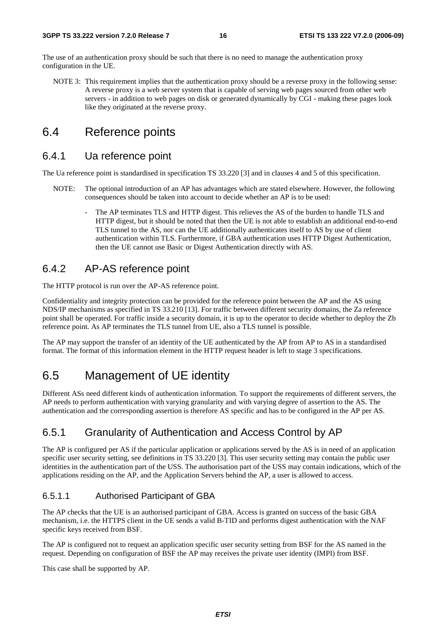The use of an authentication proxy should be such that there is no need to manage the authentication proxy configuration in the UE.

NOTE 3: This requirement implies that the authentication proxy should be a reverse proxy in the following sense: A reverse proxy is a web server system that is capable of serving web pages sourced from other web servers - in addition to web pages on disk or generated dynamically by CGI - making these pages look like they originated at the reverse proxy.

## 6.4 Reference points

### 6.4.1 Ua reference point

The Ua reference point is standardised in specification TS 33.220 [3] and in clauses 4 and 5 of this specification.

- NOTE: The optional introduction of an AP has advantages which are stated elsewhere. However, the following consequences should be taken into account to decide whether an AP is to be used:
	- The AP terminates TLS and HTTP digest. This relieves the AS of the burden to handle TLS and HTTP digest, but it should be noted that then the UE is not able to establish an additional end-to-end TLS tunnel to the AS, nor can the UE additionally authenticates itself to AS by use of client authentication within TLS. Furthermore, if GBA authentication uses HTTP Digest Authentication, then the UE cannot use Basic or Digest Authentication directly with AS.

### 6.4.2 AP-AS reference point

The HTTP protocol is run over the AP-AS reference point.

Confidentiality and integrity protection can be provided for the reference point between the AP and the AS using NDS/IP mechanisms as specified in TS 33.210 [13]. For traffic between different security domains, the Za reference point shall be operated. For traffic inside a security domain, it is up to the operator to decide whether to deploy the Zb reference point. As AP terminates the TLS tunnel from UE, also a TLS tunnel is possible.

The AP may support the transfer of an identity of the UE authenticated by the AP from AP to AS in a standardised format. The format of this information element in the HTTP request header is left to stage 3 specifications.

# 6.5 Management of UE identity

Different ASs need different kinds of authentication information. To support the requirements of different servers, the AP needs to perform authentication with varying granularity and with varying degree of assertion to the AS. The authentication and the corresponding assertion is therefore AS specific and has to be configured in the AP per AS.

### 6.5.1 Granularity of Authentication and Access Control by AP

The AP is configured per AS if the particular application or applications served by the AS is in need of an application specific user security setting, see definitions in TS 33.220 [3]. This user security setting may contain the public user identities in the authentication part of the USS. The authorisation part of the USS may contain indications, which of the applications residing on the AP, and the Application Servers behind the AP, a user is allowed to access.

### 6.5.1.1 Authorised Participant of GBA

The AP checks that the UE is an authorised participant of GBA. Access is granted on success of the basic GBA mechanism, i.e. the HTTPS client in the UE sends a valid B-TID and performs digest authentication with the NAF specific keys received from BSF.

The AP is configured not to request an application specific user security setting from BSF for the AS named in the request. Depending on configuration of BSF the AP may receives the private user identity (IMPI) from BSF.

This case shall be supported by AP.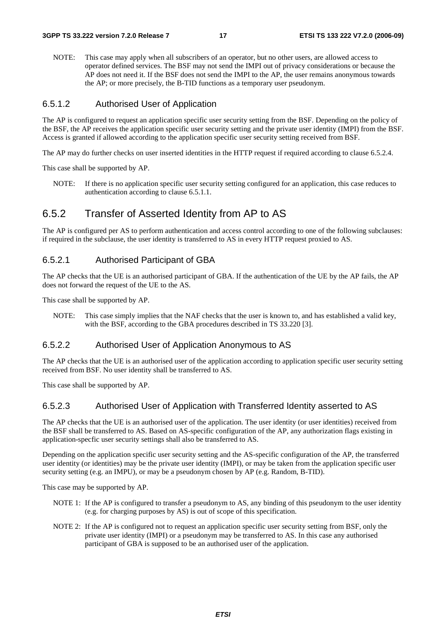NOTE: This case may apply when all subscribers of an operator, but no other users, are allowed access to operator defined services. The BSF may not send the IMPI out of privacy considerations or because the AP does not need it. If the BSF does not send the IMPI to the AP, the user remains anonymous towards the AP; or more precisely, the B-TID functions as a temporary user pseudonym.

#### 6.5.1.2 Authorised User of Application

The AP is configured to request an application specific user security setting from the BSF. Depending on the policy of the BSF, the AP receives the application specific user security setting and the private user identity (IMPI) from the BSF. Access is granted if allowed according to the application specific user security setting received from BSF.

The AP may do further checks on user inserted identities in the HTTP request if required according to clause 6.5.2.4.

This case shall be supported by AP.

NOTE: If there is no application specific user security setting configured for an application, this case reduces to authentication according to clause 6.5.1.1.

### 6.5.2 Transfer of Asserted Identity from AP to AS

The AP is configured per AS to perform authentication and access control according to one of the following subclauses: if required in the subclause, the user identity is transferred to AS in every HTTP request proxied to AS.

### 6.5.2.1 Authorised Participant of GBA

The AP checks that the UE is an authorised participant of GBA. If the authentication of the UE by the AP fails, the AP does not forward the request of the UE to the AS.

This case shall be supported by AP.

NOTE: This case simply implies that the NAF checks that the user is known to, and has established a valid key, with the BSF, according to the GBA procedures described in TS 33.220 [3].

### 6.5.2.2 Authorised User of Application Anonymous to AS

The AP checks that the UE is an authorised user of the application according to application specific user security setting received from BSF. No user identity shall be transferred to AS.

This case shall be supported by AP.

### 6.5.2.3 Authorised User of Application with Transferred Identity asserted to AS

The AP checks that the UE is an authorised user of the application. The user identity (or user identities) received from the BSF shall be transferred to AS. Based on AS-specific configuration of the AP, any authorization flags existing in application-specfic user security settings shall also be transferred to AS.

Depending on the application specific user security setting and the AS-specific configuration of the AP, the transferred user identity (or identities) may be the private user identity (IMPI), or may be taken from the application specific user security setting (e.g. an IMPU), or may be a pseudonym chosen by AP (e.g. Random, B-TID).

This case may be supported by AP.

- NOTE 1: If the AP is configured to transfer a pseudonym to AS, any binding of this pseudonym to the user identity (e.g. for charging purposes by AS) is out of scope of this specification.
- NOTE 2: If the AP is configured not to request an application specific user security setting from BSF, only the private user identity (IMPI) or a pseudonym may be transferred to AS. In this case any authorised participant of GBA is supposed to be an authorised user of the application.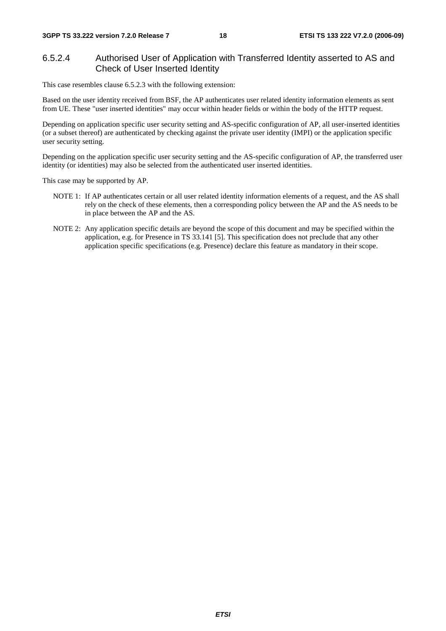### 6.5.2.4 Authorised User of Application with Transferred Identity asserted to AS and Check of User Inserted Identity

This case resembles clause 6.5.2.3 with the following extension:

Based on the user identity received from BSF, the AP authenticates user related identity information elements as sent from UE. These "user inserted identities" may occur within header fields or within the body of the HTTP request.

Depending on application specific user security setting and AS-specific configuration of AP, all user-inserted identities (or a subset thereof) are authenticated by checking against the private user identity (IMPI) or the application specific user security setting.

Depending on the application specific user security setting and the AS-specific configuration of AP, the transferred user identity (or identities) may also be selected from the authenticated user inserted identities.

This case may be supported by AP.

- NOTE 1: If AP authenticates certain or all user related identity information elements of a request, and the AS shall rely on the check of these elements, then a corresponding policy between the AP and the AS needs to be in place between the AP and the AS.
- NOTE 2: Any application specific details are beyond the scope of this document and may be specified within the application, e.g. for Presence in TS 33.141 [5]. This specification does not preclude that any other application specific specifications (e.g. Presence) declare this feature as mandatory in their scope.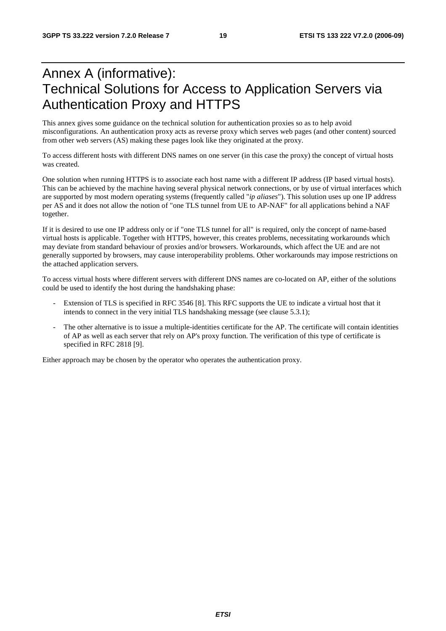# Annex A (informative): Technical Solutions for Access to Application Servers via Authentication Proxy and HTTPS

This annex gives some guidance on the technical solution for authentication proxies so as to help avoid misconfigurations. An authentication proxy acts as reverse proxy which serves web pages (and other content) sourced from other web servers (AS) making these pages look like they originated at the proxy.

To access different hosts with different DNS names on one server (in this case the proxy) the concept of virtual hosts was created.

One solution when running HTTPS is to associate each host name with a different IP address (IP based virtual hosts). This can be achieved by the machine having several physical network connections, or by use of virtual interfaces which are supported by most modern operating systems (frequently called "*ip aliases*"). This solution uses up one IP address per AS and it does not allow the notion of "one TLS tunnel from UE to AP-NAF" for all applications behind a NAF together.

If it is desired to use one IP address only or if "one TLS tunnel for all" is required, only the concept of name-based virtual hosts is applicable. Together with HTTPS, however, this creates problems, necessitating workarounds which may deviate from standard behaviour of proxies and/or browsers. Workarounds, which affect the UE and are not generally supported by browsers, may cause interoperability problems. Other workarounds may impose restrictions on the attached application servers.

To access virtual hosts where different servers with different DNS names are co-located on AP, either of the solutions could be used to identify the host during the handshaking phase:

- Extension of TLS is specified in RFC 3546 [8]. This RFC supports the UE to indicate a virtual host that it intends to connect in the very initial TLS handshaking message (see clause 5.3.1);
- The other alternative is to issue a multiple-identities certificate for the AP. The certificate will contain identities of AP as well as each server that rely on AP's proxy function. The verification of this type of certificate is specified in RFC 2818 [9].

Either approach may be chosen by the operator who operates the authentication proxy.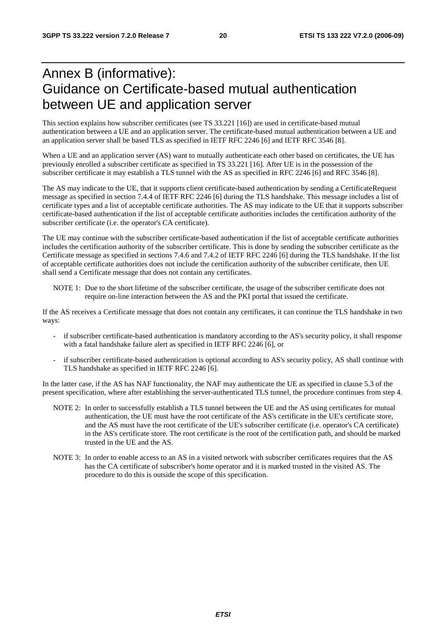# Annex B (informative): Guidance on Certificate-based mutual authentication between UE and application server

This section explains how subscriber certificates (see TS 33.221 [16]) are used in certificate-based mutual authentication between a UE and an application server. The certificate-based mutual authentication between a UE and an application server shall be based TLS as specified in IETF RFC 2246 [6] and IETF RFC 3546 [8].

When a UE and an application server (AS) want to mutually authenticate each other based on certificates, the UE has previously enrolled a subscriber certificate as specified in TS 33.221 [16]. After UE is in the possession of the subscriber certificate it may establish a TLS tunnel with the AS as specified in RFC 2246 [6] and RFC 3546 [8].

The AS may indicate to the UE, that it supports client certificate-based authentication by sending a CertificateRequest message as specified in section 7.4.4 of IETF RFC 2246 [6] during the TLS handshake. This message includes a list of certificate types and a list of acceptable certificate authorities. The AS may indicate to the UE that it supports subscriber certificate-based authentication if the list of acceptable certificate authorities includes the certification authority of the subscriber certificate (i.e. the operator's CA certificate).

The UE may continue with the subscriber certificate-based authentication if the list of acceptable certificate authorities includes the certification authority of the subscriber certificate. This is done by sending the subscriber certificate as the Certificate message as specified in sections 7.4.6 and 7.4.2 of IETF RFC 2246 [6] during the TLS handshake. If the list of acceptable certificate authorities does not include the certification authority of the subscriber certificate, then UE shall send a Certificate message that does not contain any certificates.

NOTE 1: Due to the short lifetime of the subscriber certificate, the usage of the subscriber certificate does not require on-line interaction between the AS and the PKI portal that issued the certificate.

If the AS receives a Certificate message that does not contain any certificates, it can continue the TLS handshake in two ways:

- if subscriber certificate-based authentication is mandatory according to the AS's security policy, it shall response with a fatal handshake failure alert as specified in IETF RFC 2246 [6], or
- if subscriber certificate-based authentication is optional according to AS's security policy, AS shall continue with TLS handshake as specified in IETF RFC 2246 [6].

In the latter case, if the AS has NAF functionality, the NAF may authenticate the UE as specified in clause 5.3 of the present specification, where after establishing the server-authenticated TLS tunnel, the procedure continues from step 4.

- NOTE 2: In order to successfully establish a TLS tunnel between the UE and the AS using certificates for mutual authentication, the UE must have the root certificate of the AS's certificate in the UE's certificate store, and the AS must have the root certificate of the UE's subscriber certificate (i.e. operator's CA certificate) in the AS's certificate store. The root certificate is the root of the certification path, and should be marked trusted in the UE and the AS.
- NOTE 3: In order to enable access to an AS in a visited network with subscriber certificates requires that the AS has the CA certificate of subscriber's home operator and it is marked trusted in the visited AS. The procedure to do this is outside the scope of this specification.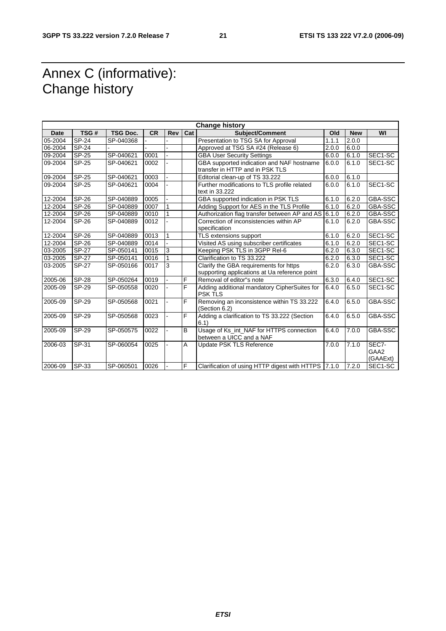# Annex C (informative): Change history

| <b>Change history</b> |              |                 |           |                |     |                                                                                         |       |            |                           |
|-----------------------|--------------|-----------------|-----------|----------------|-----|-----------------------------------------------------------------------------------------|-------|------------|---------------------------|
| <b>Date</b>           | TSG#         | <b>TSG Doc.</b> | <b>CR</b> | <b>Rev</b>     | Cat | <b>Subject/Comment</b>                                                                  | Old   | <b>New</b> | WI                        |
| 05-2004               | <b>SP-24</b> | SP-040368       |           |                |     | Presentation to TSG SA for Approval                                                     | 1.1.1 | 2.0.0      |                           |
| 06-2004               | <b>SP-24</b> |                 |           |                |     | Approved at TSG SA #24 (Release 6)                                                      | 2.0.0 | 6.0.0      |                           |
| 09-2004               | <b>SP-25</b> | SP-040621       | 0001      |                |     | <b>GBA User Security Settings</b>                                                       | 6.0.0 | 6.1.0      | SEC1-SC                   |
| 09-2004               | <b>SP-25</b> | SP-040621       | 0002      |                |     | GBA supported indication and NAF hostname                                               | 6.0.0 | 6.1.0      | SEC1-SC                   |
|                       |              |                 |           |                |     | transfer in HTTP and in PSK TLS                                                         |       |            |                           |
| 09-2004               | <b>SP-25</b> | SP-040621       | 0003      |                |     | Editorial clean-up of TS 33.222                                                         | 6.0.0 | 6.1.0      |                           |
| 09-2004               | <b>SP-25</b> | SP-040621       | 0004      |                |     | Further modifications to TLS profile related<br>text in 33.222                          | 6.0.0 | 6.1.0      | SEC1-SC                   |
| 12-2004               | <b>SP-26</b> | SP-040889       | 0005      |                |     | GBA supported indication in PSK TLS                                                     | 6.1.0 | 6.2.0      | <b>GBA-SSC</b>            |
| 12-2004               | <b>SP-26</b> | SP-040889       | 0007      | 1              |     | Adding Support for AES in the TLS Profile                                               | 6.1.0 | 6.2.0      | <b>GBA-SSC</b>            |
| 12-2004               | SP-26        | SP-040889       | 0010      | 1              |     | Authorization flag transfer between AP and AS 6.1.0                                     |       | 6.2.0      | GBA-SSC                   |
| 12-2004               | <b>SP-26</b> | SP-040889       | 0012      |                |     | Correction of inconsistencies within AP<br>specification                                | 6.1.0 | 6.2.0      | GBA-SSC                   |
| 12-2004               | <b>SP-26</b> | SP-040889       | 0013      | $\mathbf{1}$   |     | TLS extensions support                                                                  | 6.1.0 | 6.2.0      | SEC1-SC                   |
| 12-2004               | <b>SP-26</b> | SP-040889       | 0014      |                |     | Visited AS using subscriber certificates                                                | 6.1.0 | 6.2.0      | SEC1-SC                   |
| 03-2005               | SP-27        | SP-050141       | 0015      | 3              |     | Keeping PSK TLS in 3GPP Rel-6                                                           | 6.2.0 | 6.3.0      | SEC1-SC                   |
| 03-2005               | <b>SP-27</b> | SP-050141       | 0016      |                |     | Clarification to TS 33.222                                                              | 6.2.0 | 6.3.0      | SEC1-SC                   |
| 03-2005               | <b>SP-27</b> | SP-050166       | 0017      | $\overline{3}$ |     | Clarify the GBA requirements for https<br>supporting applications at Ua reference point | 6.2.0 | 6.3.0      | GBA-SSC                   |
| 2005-06               | <b>SP-28</b> | SP-050264       | 0019      |                | F   | Removal of editor"s note                                                                | 6.3.0 | 6.4.0      | SEC1-SC                   |
| 2005-09               | <b>SP-29</b> | SP-050558       | 0020      |                | F   | Adding additional mandatory CipherSuites for<br><b>PSK TLS</b>                          | 6.4.0 | 6.5.0      | SEC1-SC                   |
| 2005-09               | SP-29        | SP-050568       | 0021      |                | F   | Removing an inconsistence within TS 33.222<br>(Section 6.2)                             | 6.4.0 | 6.5.0      | <b>GBA-SSC</b>            |
| 2005-09               | <b>SP-29</b> | SP-050568       | 0023      |                | F   | Adding a clarification to TS 33.222 (Section<br>6.1)                                    | 6.4.0 | 6.5.0      | GBA-SSC                   |
| 2005-09               | <b>SP-29</b> | SP-050575       | 0022      |                | B   | Usage of Ks_int_NAF for HTTPS connection<br>between a UICC and a NAF                    | 6.4.0 | 7.0.0      | GBA-SSC                   |
| 2006-03               | SP-31        | SP-060054       | 0025      |                | A   | <b>Update PSK TLS Reference</b>                                                         | 7.0.0 | 7.1.0      | SEC7-<br>GAA2<br>(GAAExt) |
| 2006-09               | SP-33        | SP-060501       | 0026      |                | F   | Clarification of using HTTP digest with HTTPS 7.1.0                                     |       | 7.2.0      | SEC1-SC                   |